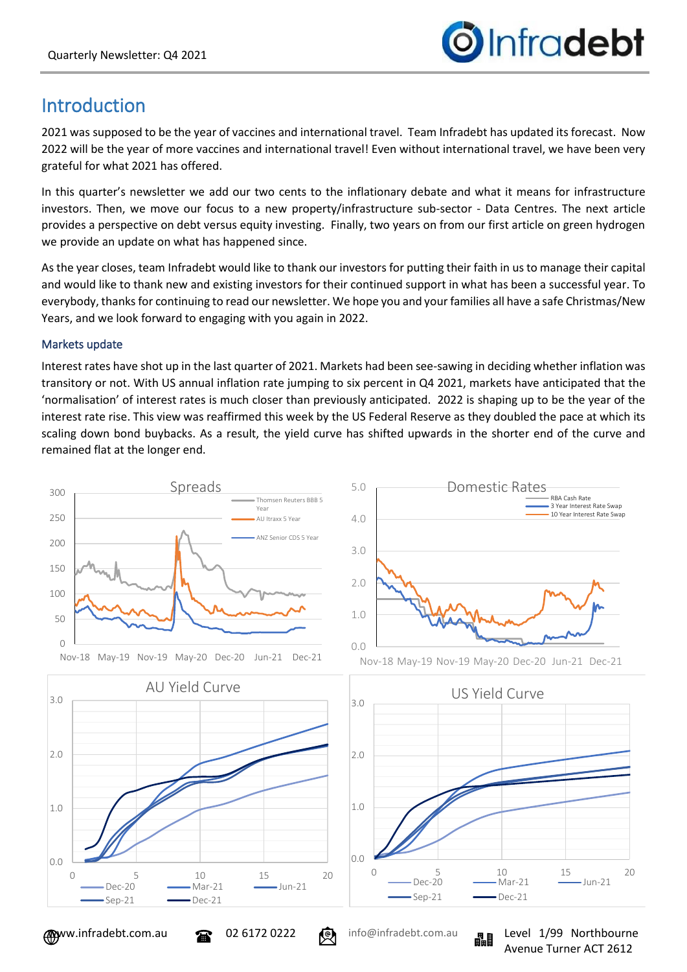

# Introduction

2021 was supposed to be the year of vaccines and international travel. Team Infradebt has updated its forecast. Now 2022 will be the year of more vaccines and international travel! Even without international travel, we have been very grateful for what 2021 has offered.

In this quarter's newsletter we add our two cents to the inflationary debate and what it means for infrastructure investors. Then, we move our focus to a new property/infrastructure sub-sector - Data Centres. The next article provides a perspective on debt versus equity investing. Finally, two years on from our first article on green hydrogen we provide an update on what has happened since.

As the year closes, team Infradebt would like to thank our investors for putting their faith in us to manage their capital and would like to thank new and existing investors for their continued support in what has been a successful year. To everybody, thanks for continuing to read our newsletter. We hope you and your families all have a safe Christmas/New Years, and we look forward to engaging with you again in 2022.

#### Markets update

Interest rates have shot up in the last quarter of 2021. Markets had been see-sawing in deciding whether inflation was transitory or not. With US annual inflation rate jumping to six percent in Q4 2021, markets have anticipated that the 'normalisation' of interest rates is much closer than previously anticipated. 2022 is shaping up to be the year of the interest rate rise. This view was reaffirmed this week by the US Federal Reserve as they doubled the pace at which its scaling down bond buybacks. As a result, the yield curve has shifted upwards in the shorter end of the curve and remained flat at the longer end.







![](_page_0_Picture_13.jpeg)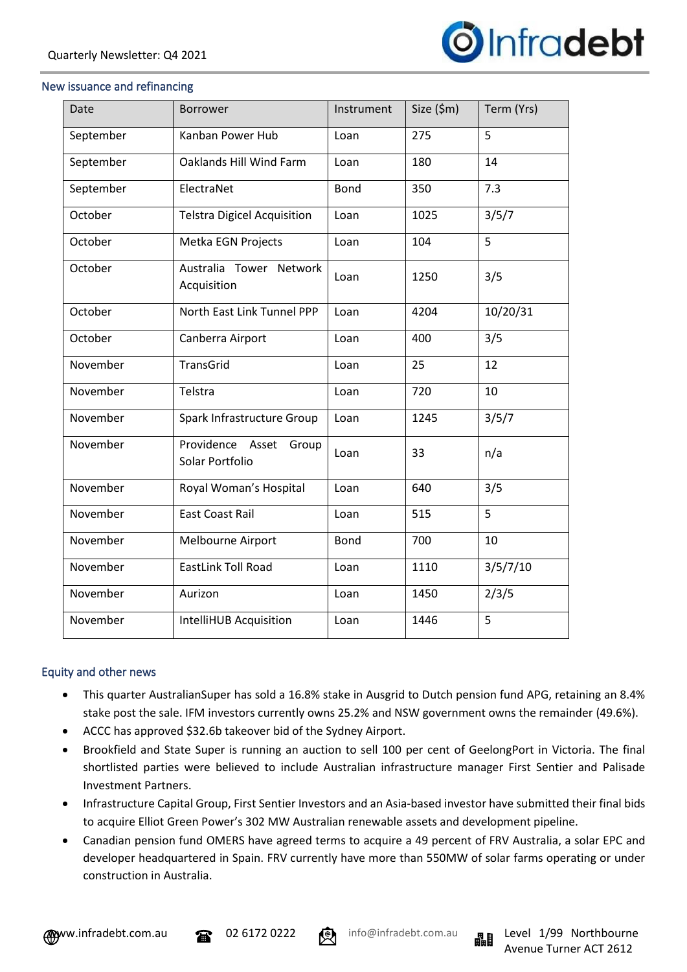![](_page_1_Picture_1.jpeg)

#### New issuance and refinancing

| Date      | <b>Borrower</b>                              | Instrument  | Size (\$m) | Term (Yrs) |
|-----------|----------------------------------------------|-------------|------------|------------|
| September | Kanban Power Hub                             | Loan        | 275        | 5          |
| September | Oaklands Hill Wind Farm                      | Loan        | 180        | 14         |
| September | ElectraNet                                   | <b>Bond</b> | 350        | 7.3        |
| October   | <b>Telstra Digicel Acquisition</b>           | Loan        | 1025       | 3/5/7      |
| October   | Metka EGN Projects                           | Loan        | 104        | 5          |
| October   | Australia Tower Network<br>Acquisition       | Loan        | 1250       | 3/5        |
| October   | North East Link Tunnel PPP                   | Loan        | 4204       | 10/20/31   |
| October   | Canberra Airport                             | Loan        | 400        | 3/5        |
| November  | <b>TransGrid</b>                             | Loan        | 25         | 12         |
| November  | Telstra                                      | Loan        | 720        | 10         |
| November  | Spark Infrastructure Group                   | Loan        | 1245       | 3/5/7      |
| November  | Providence Asset<br>Group<br>Solar Portfolio | Loan        | 33         | n/a        |
| November  | Royal Woman's Hospital                       | Loan        | 640        | 3/5        |
| November  | <b>East Coast Rail</b>                       | Loan        | 515        | 5          |
| November  | Melbourne Airport                            | <b>Bond</b> | 700        | 10         |
| November  | <b>EastLink Toll Road</b>                    | Loan        | 1110       | 3/5/7/10   |
| November  | Aurizon                                      | Loan        | 1450       | 2/3/5      |
| November  | <b>IntelliHUB Acquisition</b>                | Loan        | 1446       | 5          |

#### Equity and other news

- This quarter AustralianSuper has sold a 16.8% stake in Ausgrid to Dutch pension fund APG, retaining an 8.4% stake post the sale. IFM investors currently owns 25.2% and NSW government owns the remainder (49.6%).
- ACCC has approved \$32.6b takeover bid of the Sydney Airport.
- Brookfield and State Super is running an auction to sell 100 per cent of GeelongPort in Victoria. The final shortlisted parties were believed to include Australian infrastructure manager First Sentier and Palisade Investment Partners.
- Infrastructure Capital Group, First Sentier Investors and an Asia-based investor have submitted their final bids to acquire Elliot Green Power's 302 MW Australian renewable assets and development pipeline.
- Canadian pension fund OMERS have agreed terms to acquire a 49 percent of FRV Australia, a solar EPC and developer headquartered in Spain. FRV currently have more than 550MW of solar farms operating or under construction in Australia.

![](_page_1_Picture_11.jpeg)

![](_page_1_Picture_12.jpeg)

![](_page_1_Picture_14.jpeg)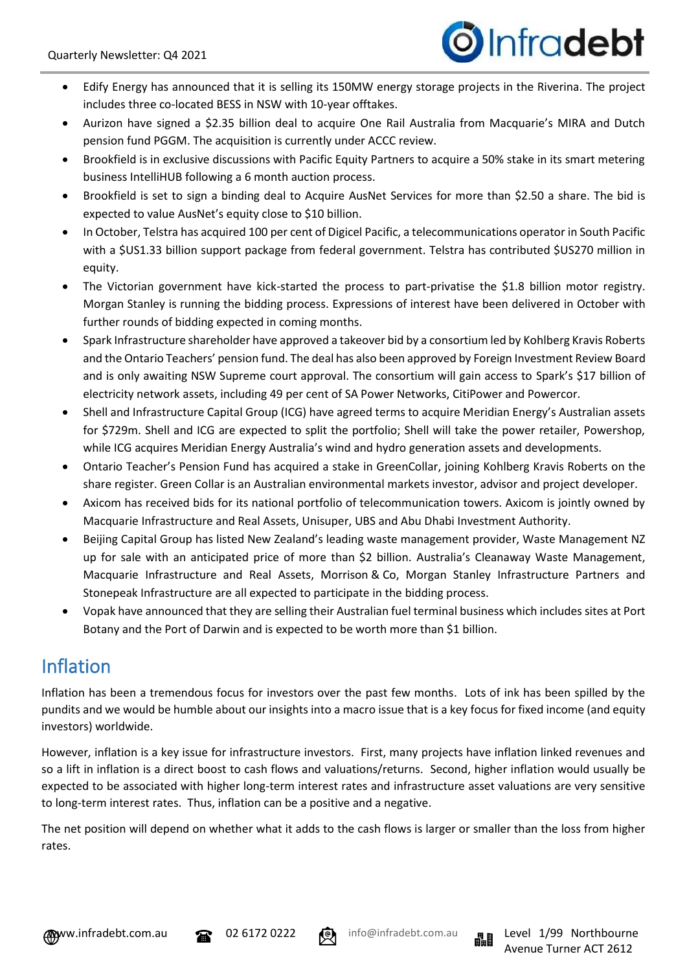![](_page_2_Picture_1.jpeg)

- Edify Energy has announced that it is selling its 150MW energy storage projects in the Riverina. The project includes three co-located BESS in NSW with 10-year offtakes.
- Aurizon have signed a \$2.35 billion deal to acquire One Rail Australia from Macquarie's MIRA and Dutch pension fund PGGM. The acquisition is currently under ACCC review.
- Brookfield is in exclusive discussions with Pacific Equity Partners to acquire a 50% stake in its smart metering business IntelliHUB following a 6 month auction process.
- Brookfield is set to sign a binding deal to Acquire AusNet Services for more than \$2.50 a share. The bid is expected to value AusNet's equity close to \$10 billion.
- In October, Telstra has acquired 100 per cent of Digicel Pacific, a telecommunications operator in South Pacific with a \$US1.33 billion support package from federal government. Telstra has contributed \$US270 million in equity.
- The Victorian government have kick-started the process to part-privatise the \$1.8 billion motor registry. Morgan Stanley is running the bidding process. Expressions of interest have been delivered in October with further rounds of bidding expected in coming months.
- Spark Infrastructure shareholder have approved a takeover bid by a consortium led by Kohlberg Kravis Roberts and the Ontario Teachers' pension fund. The deal has also been approved by Foreign Investment Review Board and is only awaiting NSW Supreme court approval. The consortium will gain access to Spark's \$17 billion of electricity network assets, including 49 per cent of SA Power Networks, CitiPower and Powercor.
- Shell and Infrastructure Capital Group (ICG) have agreed terms to acquire Meridian Energy's Australian assets for \$729m. Shell and ICG are expected to split the portfolio; Shell will take the power retailer, Powershop, while ICG acquires Meridian Energy Australia's wind and hydro generation assets and developments.
- Ontario Teacher's Pension Fund has acquired a stake in GreenCollar, joining Kohlberg Kravis Roberts on the share register. Green Collar is an Australian environmental markets investor, advisor and project developer.
- Axicom has received bids for its national portfolio of telecommunication towers. Axicom is jointly owned by Macquarie Infrastructure and Real Assets, Unisuper, UBS and Abu Dhabi Investment Authority.
- Beijing Capital Group has listed New Zealand's leading waste management provider, Waste Management NZ up for sale with an anticipated price of more than \$2 billion. Australia's Cleanaway Waste Management, Macquarie Infrastructure and Real Assets, Morrison & Co, Morgan Stanley Infrastructure Partners and Stonepeak Infrastructure are all expected to participate in the bidding process.
- Vopak have announced that they are selling their Australian fuel terminal business which includes sites at Port Botany and the Port of Darwin and is expected to be worth more than \$1 billion.

# Inflation

Inflation has been a tremendous focus for investors over the past few months. Lots of ink has been spilled by the pundits and we would be humble about our insights into a macro issue that is a key focus for fixed income (and equity investors) worldwide.

However, inflation is a key issue for infrastructure investors. First, many projects have inflation linked revenues and so a lift in inflation is a direct boost to cash flows and valuations/returns. Second, higher inflation would usually be expected to be associated with higher long-term interest rates and infrastructure asset valuations are very sensitive to long-term interest rates. Thus, inflation can be a positive and a negative.

The net position will depend on whether what it adds to the cash flows is larger or smaller than the loss from higher rates.

![](_page_2_Picture_19.jpeg)

![](_page_2_Picture_20.jpeg)

![](_page_2_Picture_22.jpeg)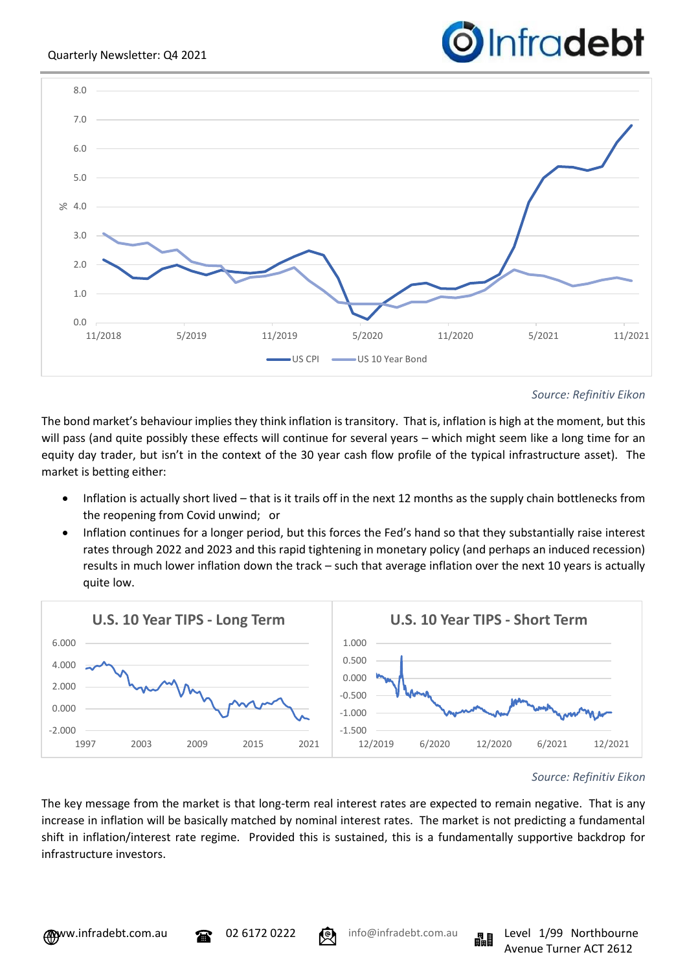![](_page_3_Picture_1.jpeg)

![](_page_3_Figure_2.jpeg)

*Source: Refinitiv Eikon*

The bond market's behaviour implies they think inflation is transitory. That is, inflation is high at the moment, but this will pass (and quite possibly these effects will continue for several years – which might seem like a long time for an equity day trader, but isn't in the context of the 30 year cash flow profile of the typical infrastructure asset). The market is betting either:

- Inflation is actually short lived that is it trails off in the next 12 months as the supply chain bottlenecks from the reopening from Covid unwind; or
- Inflation continues for a longer period, but this forces the Fed's hand so that they substantially raise interest rates through 2022 and 2023 and this rapid tightening in monetary policy (and perhaps an induced recession) results in much lower inflation down the track – such that average inflation over the next 10 years is actually quite low.

![](_page_3_Figure_7.jpeg)

#### *Source: Refinitiv Eikon*

The key message from the market is that long-term real interest rates are expected to remain negative. That is any increase in inflation will be basically matched by nominal interest rates. The market is not predicting a fundamental shift in inflation/interest rate regime. Provided this is sustained, this is a fundamentally supportive backdrop for infrastructure investors.

![](_page_3_Picture_11.jpeg)

![](_page_3_Picture_12.jpeg)

![](_page_3_Picture_14.jpeg)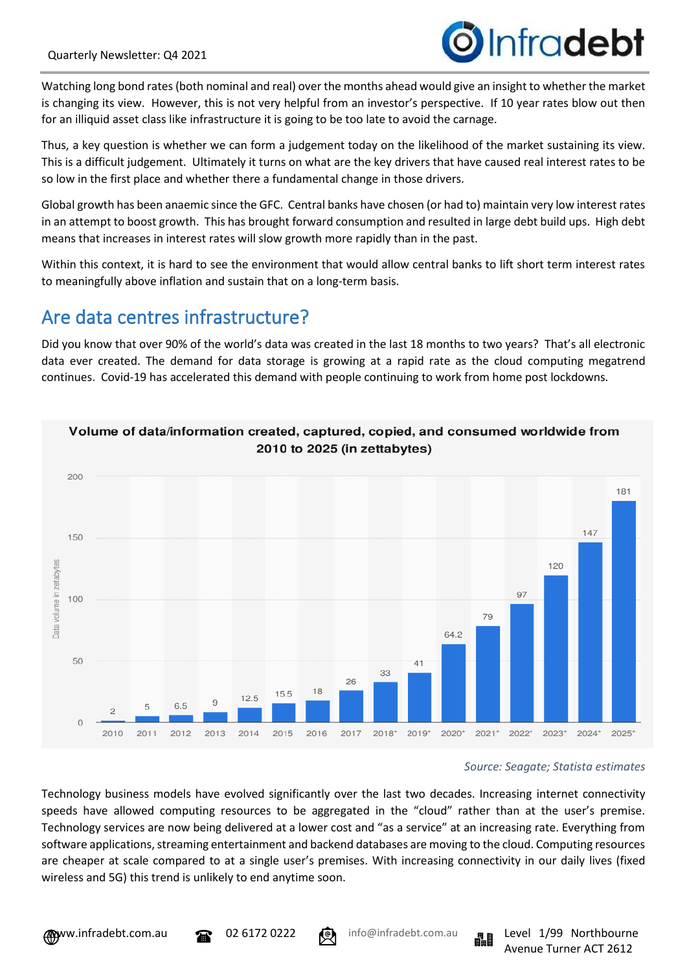![](_page_4_Picture_1.jpeg)

Watching long bond rates (both nominal and real) over the months ahead would give an insight to whether the market is changing its view. However, this is not very helpful from an investor's perspective. If 10 year rates blow out then for an illiquid asset class like infrastructure it is going to be too late to avoid the carnage.

Thus, a key question is whether we can form a judgement today on the likelihood of the market sustaining its view. This is a difficult judgement. Ultimately it turns on what are the key drivers that have caused real interest rates to be so low in the first place and whether there a fundamental change in those drivers.

Global growth has been anaemic since the GFC. Central banks have chosen (or had to) maintain very low interest rates in an attempt to boost growth. This has brought forward consumption and resulted in large debt build ups. High debt means that increases in interest rates will slow growth more rapidly than in the past.

Within this context, it is hard to see the environment that would allow central banks to lift short term interest rates to meaningfully above inflation and sustain that on a long-term basis.

## Are data centres infrastructure?

Did you know that over 90% of the world's data was created in the last 18 months to two years? That's all electronic data ever created. The demand for data storage is growing at a rapid rate as the cloud computing megatrend continues. Covid-19 has accelerated this demand with people continuing to work from home post lockdowns.

![](_page_4_Figure_8.jpeg)

## *Source: Seagate; Statista estimates*

Technology business models have evolved significantly over the last two decades. Increasing internet connectivity speeds have allowed computing resources to be aggregated in the "cloud" rather than at the user's premise. Technology services are now being delivered at a lower cost and "as a service" at an increasing rate. Everything from software applications, streaming entertainment and backend databases are moving to the cloud. Computing resources are cheaper at scale compared to at a single user's premises. With increasing connectivity in our daily lives (fixed wireless and 5G) this trend is unlikely to end anytime soon.

![](_page_4_Picture_15.jpeg)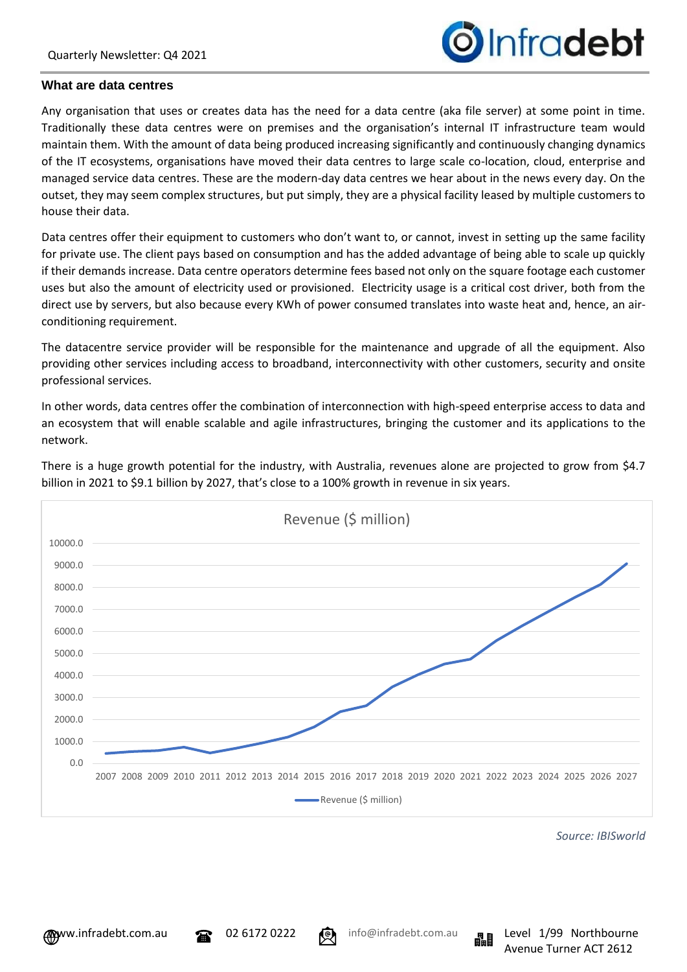![](_page_5_Picture_1.jpeg)

#### **What are data centres**

Any organisation that uses or creates data has the need for a data centre (aka file server) at some point in time. Traditionally these data centres were on premises and the organisation's internal IT infrastructure team would maintain them. With the amount of data being produced increasing significantly and continuously changing dynamics of the IT ecosystems, organisations have moved their data centres to large scale co-location, cloud, enterprise and managed service data centres. These are the modern-day data centres we hear about in the news every day. On the outset, they may seem complex structures, but put simply, they are a physical facility leased by multiple customers to house their data.

Data centres offer their equipment to customers who don't want to, or cannot, invest in setting up the same facility for private use. The client pays based on consumption and has the added advantage of being able to scale up quickly if their demands increase. Data centre operators determine fees based not only on the square footage each customer uses but also the amount of electricity used or provisioned. Electricity usage is a critical cost driver, both from the direct use by servers, but also because every KWh of power consumed translates into waste heat and, hence, an airconditioning requirement.

The datacentre service provider will be responsible for the maintenance and upgrade of all the equipment. Also providing other services including access to broadband, interconnectivity with other customers, security and onsite professional services.

In other words, data centres offer the combination of interconnection with high-speed enterprise access to data and an ecosystem that will enable scalable and agile infrastructures, bringing the customer and its applications to the network.

![](_page_5_Figure_7.jpeg)

There is a huge growth potential for the industry, with Australia, revenues alone are projected to grow from \$4.7 billion in 2021 to \$9.1 billion by 2027, that's close to a 100% growth in revenue in six years.

*Source: IBISworld*

Avenue Turner ACT 2612

![](_page_5_Picture_10.jpeg)

![](_page_5_Picture_12.jpeg)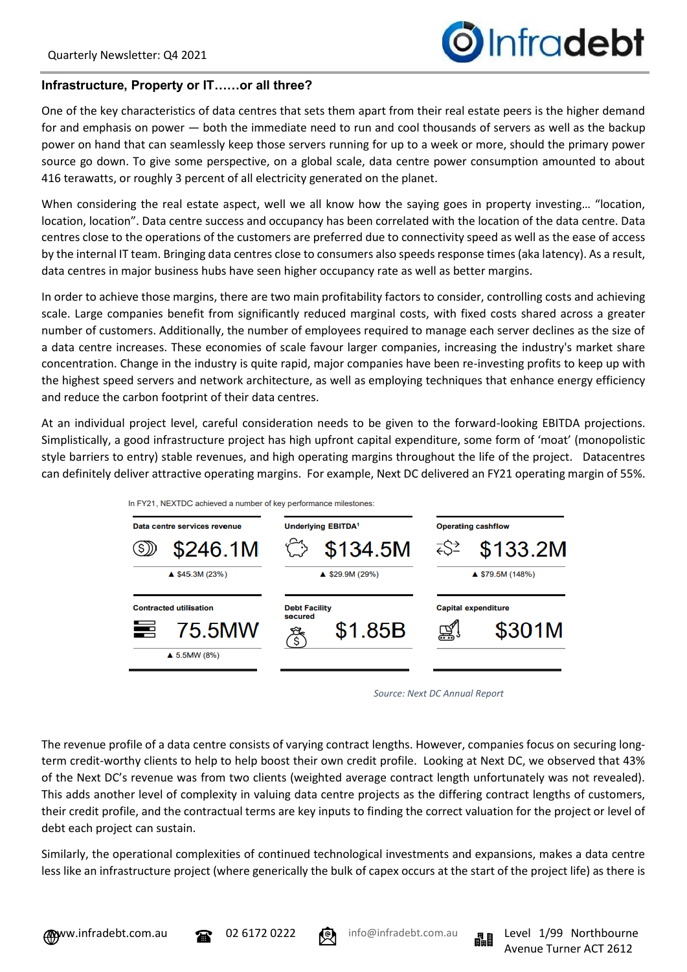# Infradebt

## **Infrastructure, Property or IT……or all three?**

One of the key characteristics of data centres that sets them apart from their real estate peers is the higher demand for and emphasis on power — both the immediate need to run and cool thousands of servers as well as the backup power on hand that can seamlessly keep those servers running for up to a week or more, should the primary power source go down. To give some perspective, on a global scale, data centre power consumption amounted to about 416 terawatts, or roughly 3 percent of all electricity generated on the planet.

When considering the real estate aspect, well we all know how the saying goes in property investing... "location, location, location". Data centre success and occupancy has been correlated with the location of the data centre. Data centres close to the operations of the customers are preferred due to connectivity speed as well as the ease of access by the internal IT team. Bringing data centres close to consumers also speeds response times (aka latency). As a result, data centres in major business hubs have seen higher occupancy rate as well as better margins.

In order to achieve those margins, there are two main profitability factors to consider, controlling costs and achieving scale. Large companies benefit from significantly reduced marginal costs, with fixed costs shared across a greater number of customers. Additionally, the number of employees required to manage each server declines as the size of a data centre increases. These economies of scale favour larger companies, increasing the industry's market share concentration. Change in the industry is quite rapid, major companies have been re-investing profits to keep up with the highest speed servers and network architecture, as well as employing techniques that enhance energy efficiency and reduce the carbon footprint of their data centres.

At an individual project level, careful consideration needs to be given to the forward-looking EBITDA projections. Simplistically, a good infrastructure project has high upfront capital expenditure, some form of 'moat' (monopolistic style barriers to entry) stable revenues, and high operating margins throughout the life of the project. Datacentres can definitely deliver attractive operating margins. For example, Next DC delivered an FY21 operating margin of 55%.

![](_page_6_Figure_7.jpeg)

*Source: Next DC Annual Report*

The revenue profile of a data centre consists of varying contract lengths. However, companies focus on securing longterm credit-worthy clients to help to help boost their own credit profile. Looking at Next DC, we observed that 43% of the Next DC's revenue was from two clients (weighted average contract length unfortunately was not revealed). This adds another level of complexity in valuing data centre projects as the differing contract lengths of customers, their credit profile, and the contractual terms are key inputs to finding the correct valuation for the project or level of debt each project can sustain.

Similarly, the operational complexities of continued technological investments and expansions, makes a data centre less like an infrastructure project (where generically the bulk of capex occurs at the start of the project life) as there is

![](_page_6_Picture_13.jpeg)

![](_page_6_Picture_15.jpeg)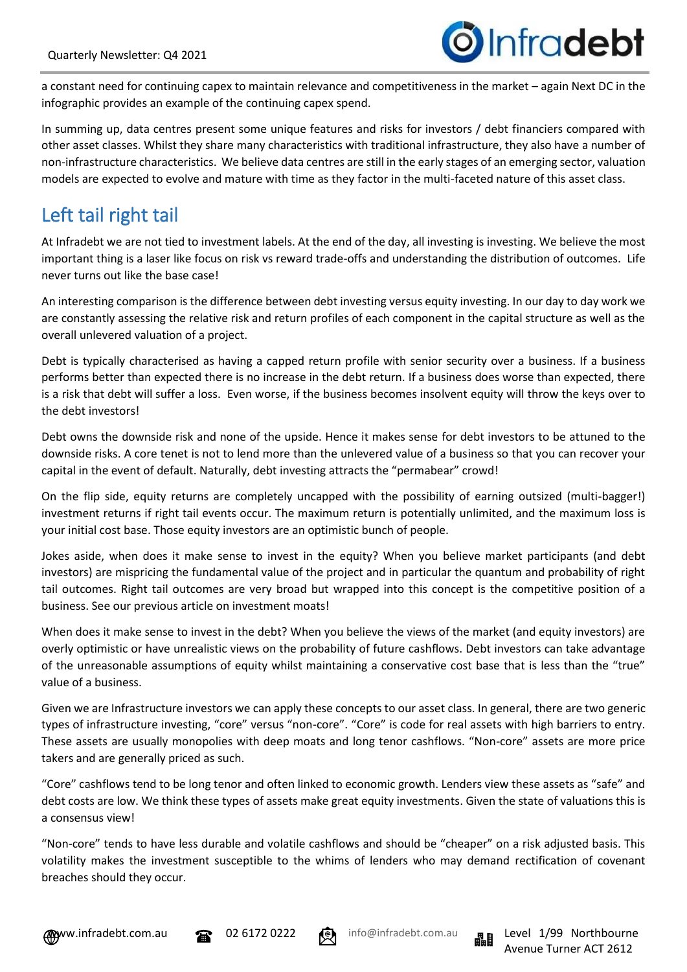![](_page_7_Picture_1.jpeg)

a constant need for continuing capex to maintain relevance and competitiveness in the market – again Next DC in the infographic provides an example of the continuing capex spend.

In summing up, data centres present some unique features and risks for investors / debt financiers compared with other asset classes. Whilst they share many characteristics with traditional infrastructure, they also have a number of non-infrastructure characteristics. We believe data centres are still in the early stages of an emerging sector, valuation models are expected to evolve and mature with time as they factor in the multi-faceted nature of this asset class.

## Left tail right tail

At Infradebt we are not tied to investment labels. At the end of the day, all investing is investing. We believe the most important thing is a laser like focus on risk vs reward trade-offs and understanding the distribution of outcomes. Life never turns out like the base case!

An interesting comparison is the difference between debt investing versus equity investing. In our day to day work we are constantly assessing the relative risk and return profiles of each component in the capital structure as well as the overall unlevered valuation of a project.

Debt is typically characterised as having a capped return profile with senior security over a business. If a business performs better than expected there is no increase in the debt return. If a business does worse than expected, there is a risk that debt will suffer a loss. Even worse, if the business becomes insolvent equity will throw the keys over to the debt investors!

Debt owns the downside risk and none of the upside. Hence it makes sense for debt investors to be attuned to the downside risks. A core tenet is not to lend more than the unlevered value of a business so that you can recover your capital in the event of default. Naturally, debt investing attracts the "permabear" crowd!

On the flip side, equity returns are completely uncapped with the possibility of earning outsized (multi-bagger!) investment returns if right tail events occur. The maximum return is potentially unlimited, and the maximum loss is your initial cost base. Those equity investors are an optimistic bunch of people.

Jokes aside, when does it make sense to invest in the equity? When you believe market participants (and debt investors) are mispricing the fundamental value of the project and in particular the quantum and probability of right tail outcomes. Right tail outcomes are very broad but wrapped into this concept is the competitive position of a business. See our previous article on investment moats!

When does it make sense to invest in the debt? When you believe the views of the market (and equity investors) are overly optimistic or have unrealistic views on the probability of future cashflows. Debt investors can take advantage of the unreasonable assumptions of equity whilst maintaining a conservative cost base that is less than the "true" value of a business.

Given we are Infrastructure investors we can apply these concepts to our asset class. In general, there are two generic types of infrastructure investing, "core" versus "non-core". "Core" is code for real assets with high barriers to entry. These assets are usually monopolies with deep moats and long tenor cashflows. "Non-core" assets are more price takers and are generally priced as such.

"Core" cashflows tend to be long tenor and often linked to economic growth. Lenders view these assets as "safe" and debt costs are low. We think these types of assets make great equity investments. Given the state of valuations this is a consensus view!

"Non-core" tends to have less durable and volatile cashflows and should be "cheaper" on a risk adjusted basis. This volatility makes the investment susceptible to the whims of lenders who may demand rectification of covenant breaches should they occur.

![](_page_7_Picture_16.jpeg)

![](_page_7_Picture_17.jpeg)

![](_page_7_Picture_18.jpeg)

![](_page_7_Picture_19.jpeg)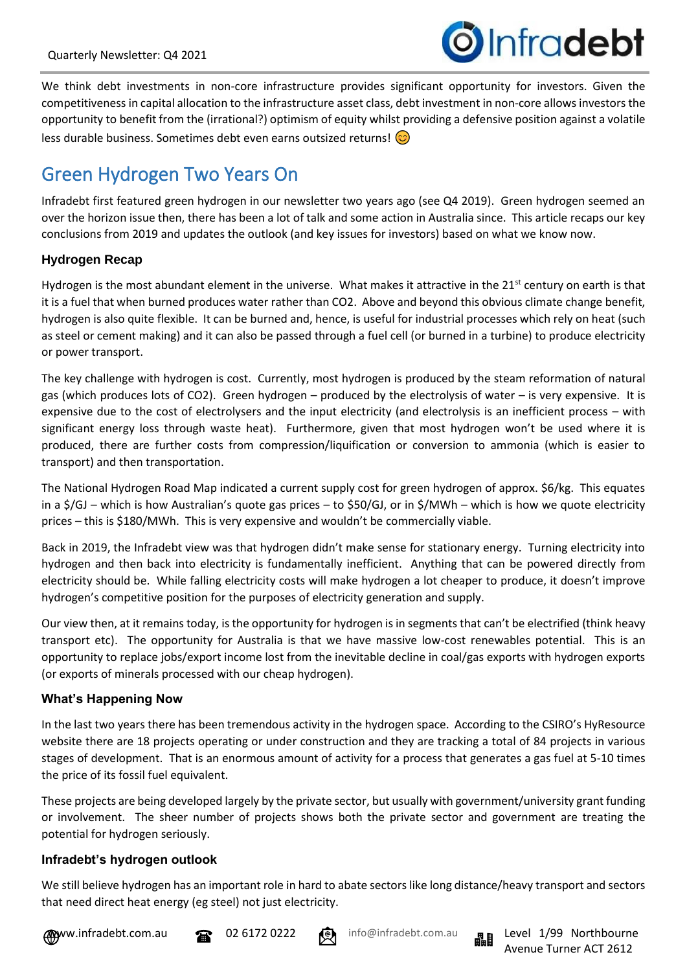![](_page_8_Picture_1.jpeg)

We think debt investments in non-core infrastructure provides significant opportunity for investors. Given the competitiveness in capital allocation to the infrastructure asset class, debt investment in non-core allows investors the opportunity to benefit from the (irrational?) optimism of equity whilst providing a defensive position against a volatile less durable business. Sometimes debt even earns outsized returns!  $\odot$ 

# Green Hydrogen Two Years On

Infradebt first featured green hydrogen in our newsletter two years ago (see Q4 2019). Green hydrogen seemed an over the horizon issue then, there has been a lot of talk and some action in Australia since. This article recaps our key conclusions from 2019 and updates the outlook (and key issues for investors) based on what we know now.

## **Hydrogen Recap**

Hydrogen is the most abundant element in the universe. What makes it attractive in the 21<sup>st</sup> century on earth is that it is a fuel that when burned produces water rather than CO2. Above and beyond this obvious climate change benefit, hydrogen is also quite flexible. It can be burned and, hence, is useful for industrial processes which rely on heat (such as steel or cement making) and it can also be passed through a fuel cell (or burned in a turbine) to produce electricity or power transport.

The key challenge with hydrogen is cost. Currently, most hydrogen is produced by the steam reformation of natural gas (which produces lots of CO2). Green hydrogen – produced by the electrolysis of water – is very expensive. It is expensive due to the cost of electrolysers and the input electricity (and electrolysis is an inefficient process – with significant energy loss through waste heat). Furthermore, given that most hydrogen won't be used where it is produced, there are further costs from compression/liquification or conversion to ammonia (which is easier to transport) and then transportation.

The National Hydrogen Road Map indicated a current supply cost for green hydrogen of approx. \$6/kg. This equates in a \$/GJ – which is how Australian's quote gas prices – to \$50/GJ, or in \$/MWh – which is how we quote electricity prices – this is \$180/MWh. This is very expensive and wouldn't be commercially viable.

Back in 2019, the Infradebt view was that hydrogen didn't make sense for stationary energy. Turning electricity into hydrogen and then back into electricity is fundamentally inefficient. Anything that can be powered directly from electricity should be. While falling electricity costs will make hydrogen a lot cheaper to produce, it doesn't improve hydrogen's competitive position for the purposes of electricity generation and supply.

Our view then, at it remains today, is the opportunity for hydrogen is in segments that can't be electrified (think heavy transport etc). The opportunity for Australia is that we have massive low-cost renewables potential. This is an opportunity to replace jobs/export income lost from the inevitable decline in coal/gas exports with hydrogen exports (or exports of minerals processed with our cheap hydrogen).

## **What's Happening Now**

In the last two years there has been tremendous activity in the hydrogen space. According to the CSIRO's HyResource website there are 18 projects operating or under construction and they are tracking a total of 84 projects in various stages of development. That is an enormous amount of activity for a process that generates a gas fuel at 5-10 times the price of its fossil fuel equivalent.

These projects are being developed largely by the private sector, but usually with government/university grant funding or involvement. The sheer number of projects shows both the private sector and government are treating the potential for hydrogen seriously.

#### **Infradebt's hydrogen outlook**

We still believe hydrogen has an important role in hard to abate sectors like long distance/heavy transport and sectors that need direct heat energy (eg steel) not just electricity.

**WWW.infradebt.com.au 22 02 6172 0222** (C) info@infradebt.com.au night Level 1/99 Northbourne

![](_page_8_Picture_17.jpeg)

![](_page_8_Picture_18.jpeg)

![](_page_8_Picture_20.jpeg)

Avenue Turner ACT 2612